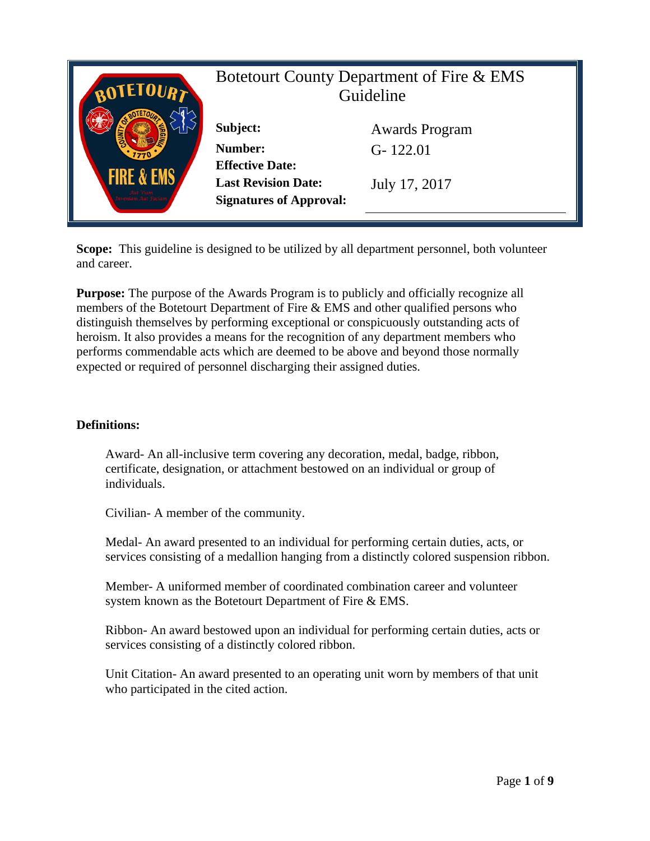

**Scope:** This guideline is designed to be utilized by all department personnel, both volunteer and career.

**Purpose:** The purpose of the Awards Program is to publicly and officially recognize all members of the Botetourt Department of Fire & EMS and other qualified persons who distinguish themselves by performing exceptional or conspicuously outstanding acts of heroism. It also provides a means for the recognition of any department members who performs commendable acts which are deemed to be above and beyond those normally expected or required of personnel discharging their assigned duties.

#### **Definitions:**

Award- An all-inclusive term covering any decoration, medal, badge, ribbon, certificate, designation, or attachment bestowed on an individual or group of individuals.

Civilian- A member of the community.

Medal- An award presented to an individual for performing certain duties, acts, or services consisting of a medallion hanging from a distinctly colored suspension ribbon.

Member- A uniformed member of coordinated combination career and volunteer system known as the Botetourt Department of Fire & EMS.

Ribbon- An award bestowed upon an individual for performing certain duties, acts or services consisting of a distinctly colored ribbon.

Unit Citation- An award presented to an operating unit worn by members of that unit who participated in the cited action.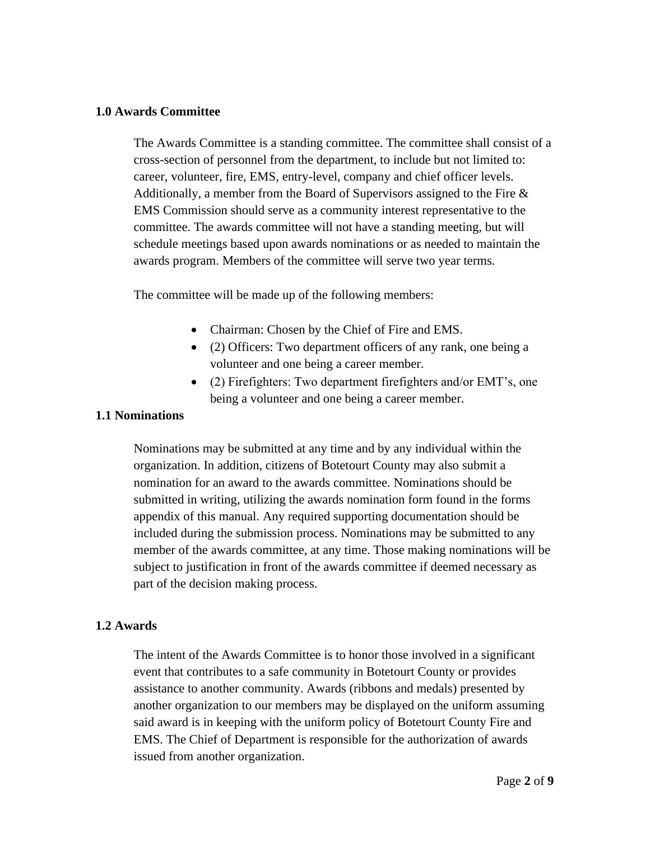#### **1.0 Awards Committee**

The Awards Committee is a standing committee. The committee shall consist of a cross-section of personnel from the department, to include but not limited to: career, volunteer, fire, EMS, entry-level, company and chief officer levels. Additionally, a member from the Board of Supervisors assigned to the Fire  $\&$ EMS Commission should serve as a community interest representative to the committee. The awards committee will not have a standing meeting, but will schedule meetings based upon awards nominations or as needed to maintain the awards program. Members of the committee will serve two year terms.

The committee will be made up of the following members:

- Chairman: Chosen by the Chief of Fire and EMS.
- (2) Officers: Two department officers of any rank, one being a volunteer and one being a career member.
- (2) Firefighters: Two department firefighters and/or EMT's, one being a volunteer and one being a career member.

### **1.1 Nominations**

Nominations may be submitted at any time and by any individual within the organization. In addition, citizens of Botetourt County may also submit a nomination for an award to the awards committee. Nominations should be submitted in writing, utilizing the awards nomination form found in the forms appendix of this manual. Any required supporting documentation should be included during the submission process. Nominations may be submitted to any member of the awards committee, at any time. Those making nominations will be subject to justification in front of the awards committee if deemed necessary as part of the decision making process.

## **1.2 Awards**

The intent of the Awards Committee is to honor those involved in a significant event that contributes to a safe community in Botetourt County or provides assistance to another community. Awards (ribbons and medals) presented by another organization to our members may be displayed on the uniform assuming said award is in keeping with the uniform policy of Botetourt County Fire and EMS. The Chief of Department is responsible for the authorization of awards issued from another organization.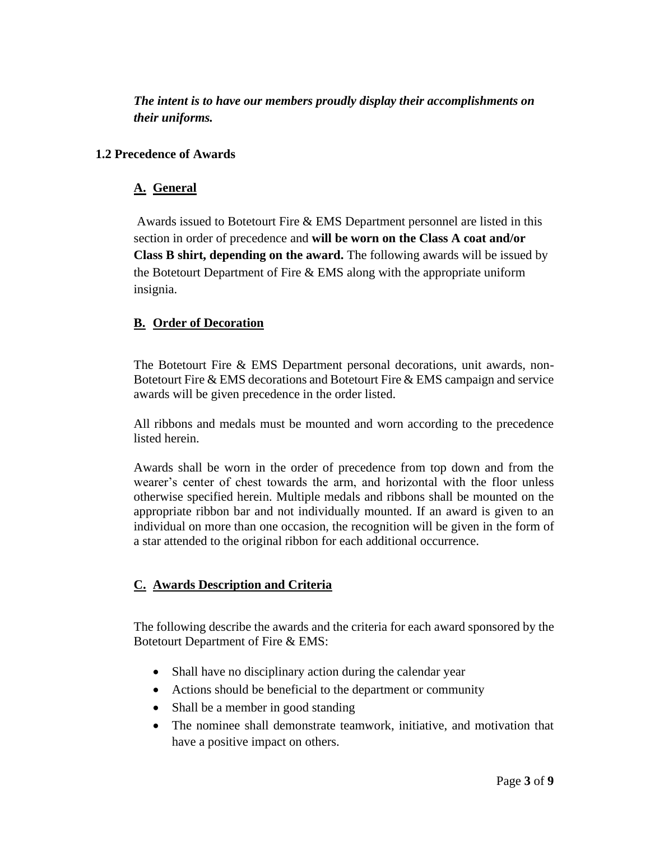*The intent is to have our members proudly display their accomplishments on their uniforms.*

### **1.2 Precedence of Awards**

## **A. General**

Awards issued to Botetourt Fire & EMS Department personnel are listed in this section in order of precedence and **will be worn on the Class A coat and/or Class B shirt, depending on the award.** The following awards will be issued by the Botetourt Department of Fire  $& EMS$  along with the appropriate uniform insignia.

## **B. Order of Decoration**

The Botetourt Fire & EMS Department personal decorations, unit awards, non-Botetourt Fire & EMS decorations and Botetourt Fire & EMS campaign and service awards will be given precedence in the order listed.

All ribbons and medals must be mounted and worn according to the precedence listed herein.

Awards shall be worn in the order of precedence from top down and from the wearer's center of chest towards the arm, and horizontal with the floor unless otherwise specified herein. Multiple medals and ribbons shall be mounted on the appropriate ribbon bar and not individually mounted. If an award is given to an individual on more than one occasion, the recognition will be given in the form of a star attended to the original ribbon for each additional occurrence.

# **C. Awards Description and Criteria**

The following describe the awards and the criteria for each award sponsored by the Botetourt Department of Fire & EMS:

- Shall have no disciplinary action during the calendar year
- Actions should be beneficial to the department or community
- Shall be a member in good standing
- The nominee shall demonstrate teamwork, initiative, and motivation that have a positive impact on others.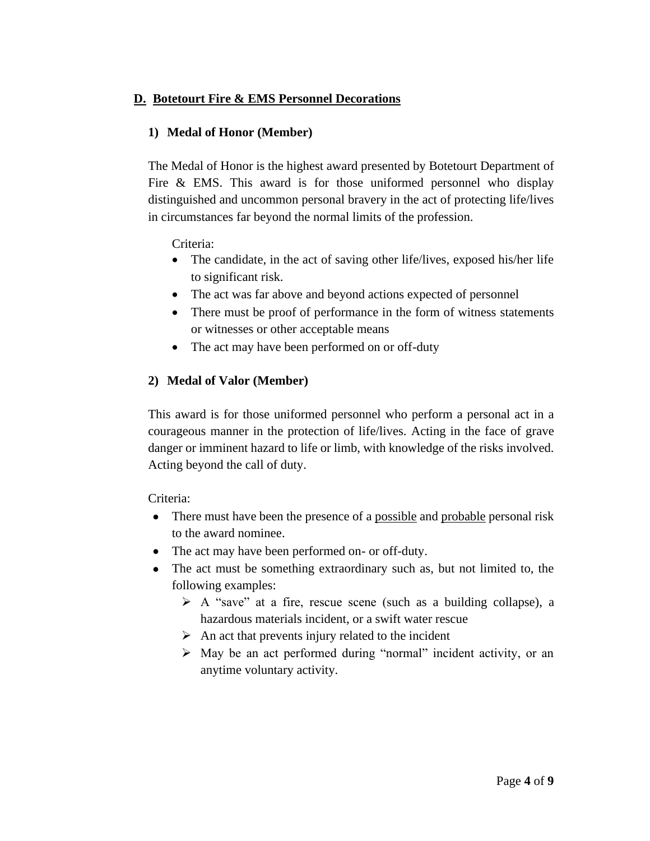## **D. Botetourt Fire & EMS Personnel Decorations**

## **1) Medal of Honor (Member)**

The Medal of Honor is the highest award presented by Botetourt Department of Fire & EMS. This award is for those uniformed personnel who display distinguished and uncommon personal bravery in the act of protecting life/lives in circumstances far beyond the normal limits of the profession.

Criteria:

- The candidate, in the act of saving other life/lives, exposed his/her life to significant risk.
- The act was far above and beyond actions expected of personnel
- There must be proof of performance in the form of witness statements or witnesses or other acceptable means
- The act may have been performed on or off-duty

## **2) Medal of Valor (Member)**

This award is for those uniformed personnel who perform a personal act in a courageous manner in the protection of life/lives. Acting in the face of grave danger or imminent hazard to life or limb, with knowledge of the risks involved. Acting beyond the call of duty.

Criteria:

- There must have been the presence of a possible and probable personal risk to the award nominee.
- The act may have been performed on- or off-duty.
- The act must be something extraordinary such as, but not limited to, the following examples:
	- ➢ A "save" at a fire, rescue scene (such as a building collapse), a hazardous materials incident, or a swift water rescue
	- $\triangleright$  An act that prevents injury related to the incident
	- ➢ May be an act performed during "normal" incident activity, or an anytime voluntary activity.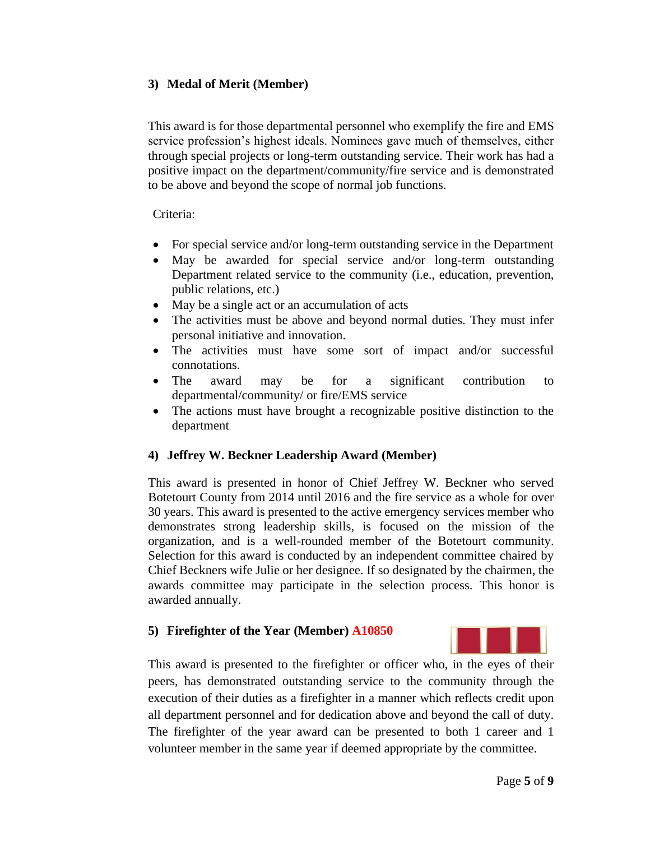## **3) Medal of Merit (Member)**

This award is for those departmental personnel who exemplify the fire and EMS service profession's highest ideals. Nominees gave much of themselves, either through special projects or long-term outstanding service. Their work has had a positive impact on the department/community/fire service and is demonstrated to be above and beyond the scope of normal job functions.

### Criteria:

- For special service and/or long-term outstanding service in the Department
- May be awarded for special service and/or long-term outstanding Department related service to the community (i.e., education, prevention, public relations, etc.)
- May be a single act or an accumulation of acts
- The activities must be above and beyond normal duties. They must infer personal initiative and innovation.
- The activities must have some sort of impact and/or successful connotations.
- The award may be for a significant contribution to departmental/community/ or fire/EMS service
- The actions must have brought a recognizable positive distinction to the department

## **4) Jeffrey W. Beckner Leadership Award (Member)**

This award is presented in honor of Chief Jeffrey W. Beckner who served Botetourt County from 2014 until 2016 and the fire service as a whole for over 30 years. This award is presented to the active emergency services member who demonstrates strong leadership skills, is focused on the mission of the organization, and is a well-rounded member of the Botetourt community. Selection for this award is conducted by an independent committee chaired by Chief Beckners wife Julie or her designee. If so designated by the chairmen, the awards committee may participate in the selection process. This honor is awarded annually.

## **5) Firefighter of the Year (Member) A10850**



This award is presented to the firefighter or officer who, in the eyes of their peers, has demonstrated outstanding service to the community through the execution of their duties as a firefighter in a manner which reflects credit upon all department personnel and for dedication above and beyond the call of duty. The firefighter of the year award can be presented to both 1 career and 1 volunteer member in the same year if deemed appropriate by the committee.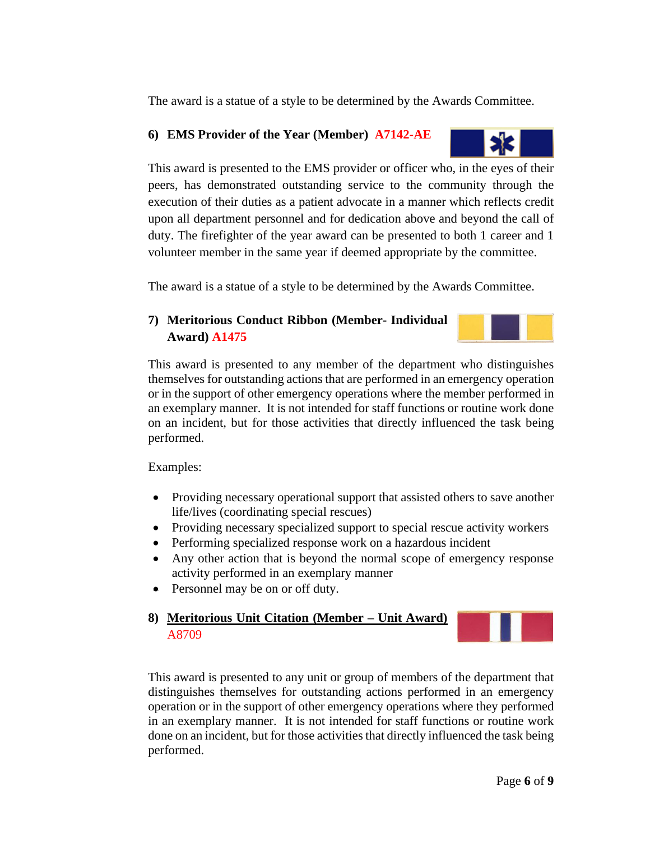The award is a statue of a style to be determined by the Awards Committee.

## **6) EMS Provider of the Year (Member) A7142-AE**



This award is presented to the EMS provider or officer who, in the eyes of their peers, has demonstrated outstanding service to the community through the execution of their duties as a patient advocate in a manner which reflects credit upon all department personnel and for dedication above and beyond the call of duty. The firefighter of the year award can be presented to both 1 career and 1 volunteer member in the same year if deemed appropriate by the committee.

The award is a statue of a style to be determined by the Awards Committee.

# **7) Meritorious Conduct Ribbon (Member- Individual Award) A1475**

This award is presented to any member of the department who distinguishes themselves for outstanding actions that are performed in an emergency operation or in the support of other emergency operations where the member performed in an exemplary manner. It is not intended for staff functions or routine work done on an incident, but for those activities that directly influenced the task being performed.

Examples:

- Providing necessary operational support that assisted others to save another life/lives (coordinating special rescues)
- Providing necessary specialized support to special rescue activity workers
- Performing specialized response work on a hazardous incident
- Any other action that is beyond the normal scope of emergency response activity performed in an exemplary manner
- Personnel may be on or off duty.
- **8) Meritorious Unit Citation (Member – Unit Award)** A8709

This award is presented to any unit or group of members of the department that distinguishes themselves for outstanding actions performed in an emergency operation or in the support of other emergency operations where they performed in an exemplary manner. It is not intended for staff functions or routine work done on an incident, but for those activities that directly influenced the task being performed.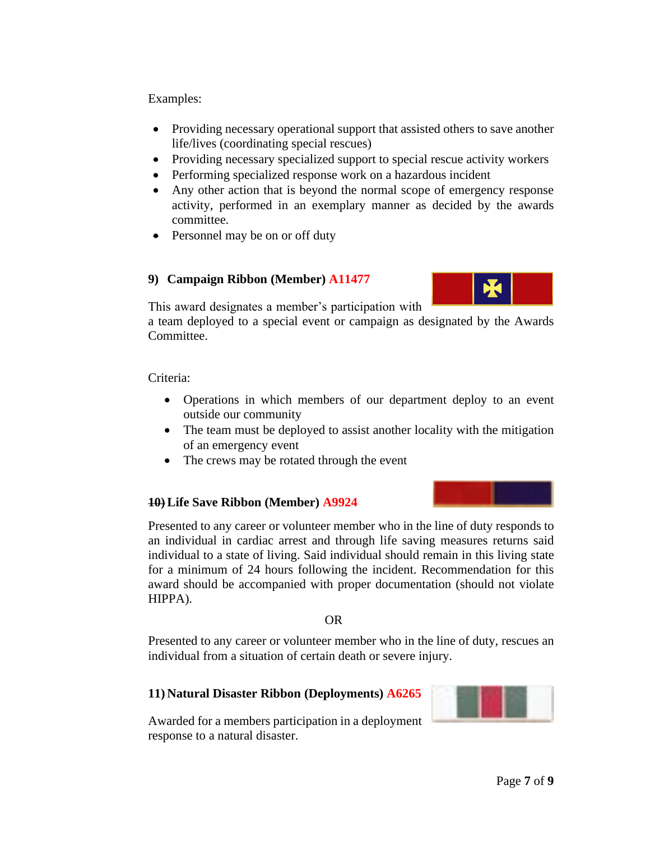Examples:

- Providing necessary operational support that assisted others to save another life/lives (coordinating special rescues)
- Providing necessary specialized support to special rescue activity workers
- Performing specialized response work on a hazardous incident
- Any other action that is beyond the normal scope of emergency response activity, performed in an exemplary manner as decided by the awards committee.
- Personnel may be on or off duty

# **9) Campaign Ribbon (Member) A11477**



This award designates a member's participation with

a team deployed to a special event or campaign as designated by the Awards Committee.

Criteria:

- Operations in which members of our department deploy to an event outside our community
- The team must be deployed to assist another locality with the mitigation of an emergency event
- The crews may be rotated through the event

# **10) Life Save Ribbon (Member) A9924**

Presented to any career or volunteer member who in the line of duty responds to an individual in cardiac arrest and through life saving measures returns said individual to a state of living. Said individual should remain in this living state for a minimum of 24 hours following the incident. Recommendation for this award should be accompanied with proper documentation (should not violate HIPPA).

OR

Presented to any career or volunteer member who in the line of duty, rescues an individual from a situation of certain death or severe injury.

# **11) Natural Disaster Ribbon (Deployments) A6265**

Awarded for a members participation in a deployment response to a natural disaster.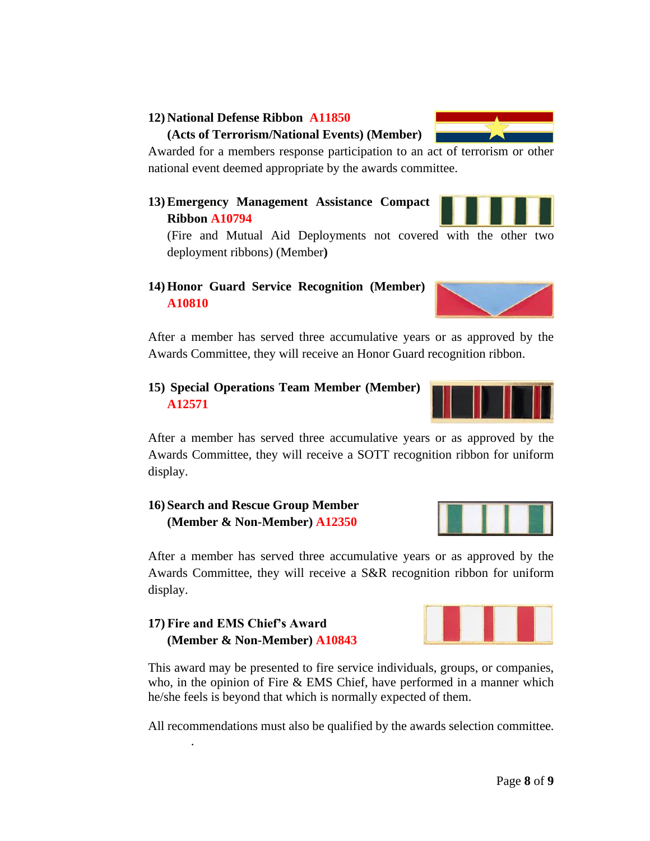### **12) National Defense Ribbon A11850**

#### **(Acts of Terrorism/National Events) (Member)**

Awarded for a members response participation to an act of terrorism or other national event deemed appropriate by the awards committee.

**13) Emergency Management Assistance Compact Ribbon A10794**

(Fire and Mutual Aid Deployments not covered with the other two deployment ribbons) (Member**)**

## **14) Honor Guard Service Recognition (Member) A10810**

After a member has served three accumulative years or as approved by the Awards Committee, they will receive an Honor Guard recognition ribbon.

## **15) Special Operations Team Member (Member) A12571**

After a member has served three accumulative years or as approved by the Awards Committee, they will receive a SOTT recognition ribbon for uniform display.

## **16) Search and Rescue Group Member (Member & Non-Member) A12350**

After a member has served three accumulative years or as approved by the Awards Committee, they will receive a S&R recognition ribbon for uniform display.

## **17) Fire and EMS Chief's Award (Member & Non-Member) A10843**

.

This award may be presented to fire service individuals, groups, or companies, who, in the opinion of Fire & EMS Chief, have performed in a manner which he/she feels is beyond that which is normally expected of them.

All recommendations must also be qualified by the awards selection committee.